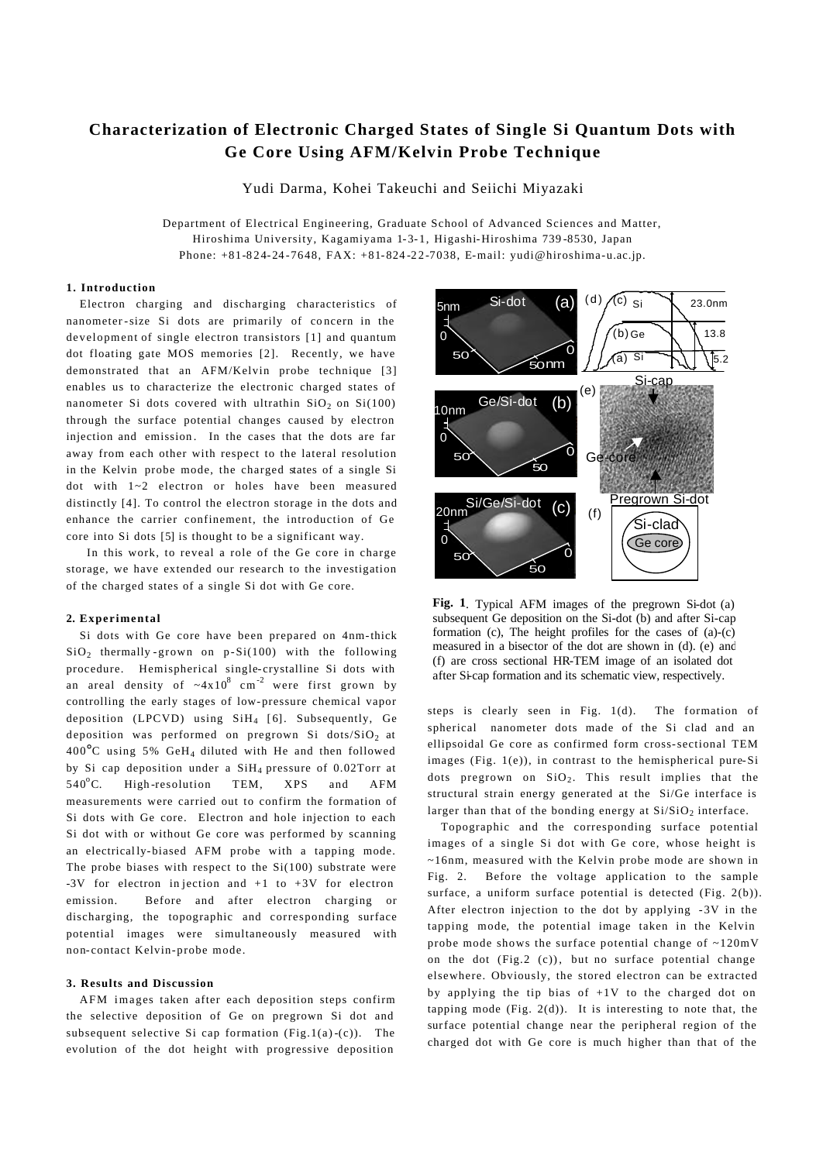# **Characterization of Electronic Charged States of Single Si Quantum Dots with Ge Core Using AFM/Kelvin Probe Technique**

Yudi Darma, Kohei Takeuchi and Seiichi Miyazaki

Department of Electrical Engineering, Graduate School of Advanced Sciences and Matter, Hiroshima University, Kagamiyama 1-3-1, Higashi-Hiroshima 739 -8530, Japan Phone: +81-824-24 -7648, FAX: +81-824 -2 2 -7038, E-mail: yudi@hiroshima-u.ac.jp.

## **1. Introduction**

Electron charging and discharging characteristics of nanometer-size Si dots are primarily of concern in the development of single electron transistors [1] and quantum dot floating gate MOS memories [2]. Recently, we have demonstrated that an AFM/Kelvin probe technique [3] enables us to characterize the electronic charged states of nanometer Si dots covered with ultrathin  $SiO<sub>2</sub>$  on  $Si(100)$ through the surface potential changes caused by electron injection and emission. In the cases that the dots are far away from each other with respect to the lateral resolution in the Kelvin probe mode, the charged states of a single Si dot with 1~2 electron or holes have been measured distinctly [4]. To control the electron storage in the dots and enhance the carrier confinement, the introduction of Ge core into Si dots [5] is thought to be a significant way.

In this work, to reveal a role of the Ge core in charge storage, we have extended our research to the investigation of the charged states of a single Si dot with Ge core.

#### **2. Experimental**

Si dots with Ge core have been prepared on 4nm-thick SiO2 thermally -grown on p -Si(100) with the following procedure. Hemispherical single- crystalline Si dots with an areal density of  ${\sim}4 \mathrm{x}10^{8}$  cm $^{-2}$  were first grown by controlling the early stages of low-pressure chemical vapor deposition (LPCVD) using SiH4 [6]. Subsequently, Ge deposition was performed on pregrown Si dots/ $\text{SiO}_2$  at 400°C using 5% GeH4 diluted with He and then followed by Si cap deposition under a SiH4 pressure of 0.02Torr at  $540^{\circ}$ C. High-resolution TEM, XPS and AFM measurements were carried out to confirm the formation of Si dots with Ge core. Electron and hole injection to each Si dot with or without Ge core was performed by scanning an electrically-biased AFM probe with a tapping mode. The probe biases with respect to the Si(100) substrate were -3V for electron in jection and +1 to +3V for electron emission. Before and after electron charging or discharging, the topographic and corresponding surface potential images were simultaneously measured with non- contact Kelvin-probe mode.

#### **3. Results and Discussion**

AFM images taken after each deposition steps confirm the selective deposition of Ge on pregrown Si dot and subsequent selective Si cap formation (Fig.1(a)-(c)). The evolution of the dot height with progressive deposition



**Fig. 1**. Typical AFM images of the pregrown Si-dot (a) subsequent Ge deposition on the Si-dot (b) and after Si-cap formation (c), The height profiles for the cases of  $(a)-(c)$ measured in a bisector of the dot are shown in (d). (e) and (f) are cross sectional HR-TEM image of an isolated dot after Si-cap formation and its schematic view, respectively.

steps is clearly seen in Fig. 1(d). The formation of spherical nanometer dots made of the Si clad and an ellipsoidal Ge core as confirmed form cross-sectional TEM images (Fig. 1(e)), in contrast to the hemispherical pure-Si dots pregrown on  $SiO<sub>2</sub>$ . This result implies that the structural strain energy generated at the Si/Ge interface is larger than that of the bonding energy at  $Si/SiO<sub>2</sub>$  interface.

Topographic and the corresponding surface potential images of a single Si dot with Ge core, whose height is ~16nm, measured with the Kelvin probe mode are shown in Fig. 2. Before the voltage application to the sample surface, a uniform surface potential is detected (Fig. 2(b)). After electron injection to the dot by applying -3V in the tapping mode, the potential image taken in the Kelvin probe mode shows the surface potential change of ~120mV on the dot  $(Fig.2 (c))$ , but no surface potential change elsewhere. Obviously, the stored electron can be extracted by applying the tip bias of +1V to the charged dot on tapping mode (Fig.  $2(d)$ ). It is interesting to note that, the surface potential change near the peripheral region of the charged dot with Ge core is much higher than that of the